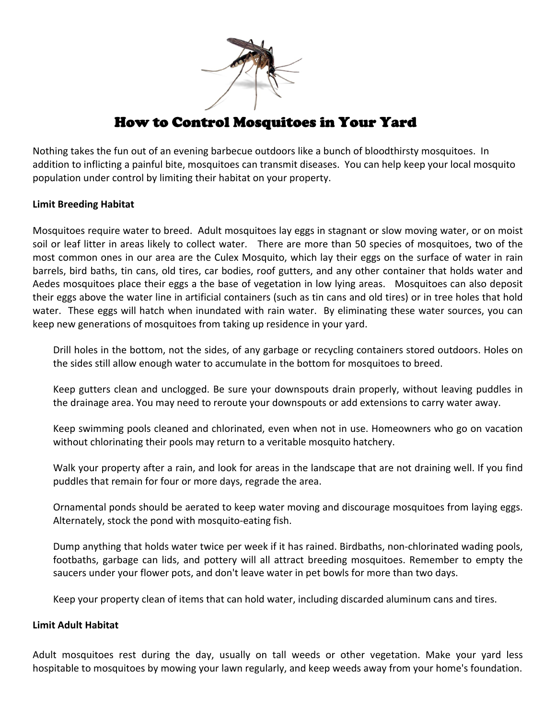

#### How to Control Mosquitoes in Your Yard

Nothing takes the fun out of an evening barbecue outdoors like a bunch of bloodthirsty mosquitoes. In addition to inflicting a painful bite, mosquitoes can transmit diseases. You can help keep your local mosquito population under control by limiting their habitat on your property.

## **Limit Breeding Habitat**

Mosquitoes require water to breed. Adult mosquitoes lay eggs in stagnant or slow moving water, or on moist soil or leaf litter in areas likely to collect water. There are more than 50 species of mosquitoes, two of the most common ones in our area are the Culex Mosquito, which lay their eggs on the surface of water in rain barrels, bird baths, tin cans, old tires, car bodies, roof gutters, and any other container that holds water and Aedes mosquitoes place their eggs a the base of vegetation in low lying areas. Mosquitoes can also deposit their eggs above the water line in artificial containers (such as tin cans and old tires) or in tree holes that hold water. These eggs will hatch when inundated with rain water. By eliminating these water sources, you can keep new generations of mosquitoes from taking up residence in your yard.

Drill holes in the bottom, not the sides, of any garbage or recycling containers stored outdoors. Holes on the sides still allow enough water to accumulate in the bottom for mosquitoes to breed.

Keep gutters clean and unclogged. Be sure your downspouts drain properly, without leaving puddles in the drainage area. You may need to reroute your downspouts or add extensions to carry water away.

Keep swimming pools cleaned and chlorinated, even when not in use. Homeowners who go on vacation without chlorinating their pools may return to a veritable mosquito hatchery.

Walk your property after a rain, and look for areas in the landscape that are not draining well. If you find puddles that remain for four or more days, regrade the area.

Ornamental ponds should be aerated to keep water moving and discourage mosquitoes from laying eggs. Alternately, stock the pond with mosquito‐eating fish.

Dump anything that holds water twice per week if it has rained. Birdbaths, non‐chlorinated wading pools, footbaths, garbage can lids, and pottery will all attract breeding mosquitoes. Remember to empty the saucers under your flower pots, and don't leave water in pet bowls for more than two days.

Keep your property clean of items that can hold water, including discarded aluminum cans and tires.

## **Limit Adult Habitat**

Adult mosquitoes rest during the day, usually on tall weeds or other vegetation. Make your yard less hospitable to mosquitoes by mowing your lawn regularly, and keep weeds away from your home's foundation.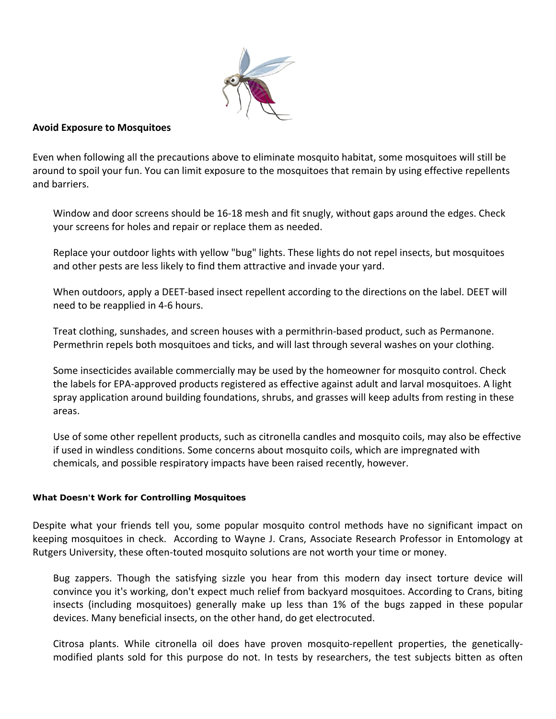

# **Avoid Exposure to Mosquitoes**

Even when following all the precautions above to eliminate mosquito habitat, some mosquitoes will still be around to spoil your fun. You can limit exposure to the mosquitoes that remain by using effective repellents and barriers.

Window and door screens should be 16-18 mesh and fit snugly, without gaps around the edges. Check your screens for holes and repair or replace them as needed.

Replace your outdoor lights with yellow "bug" lights. These lights do not repel insects, but mosquitoes and other pests are less likely to find them attractive and invade your yard.

When outdoors, apply a DEET-based insect repellent according to the directions on the label. DEET will need to be reapplied in 4‐6 hours.

Treat clothing, sunshades, and screen houses with a permithrin‐based product, such as Permanone. Permethrin repels both mosquitoes and ticks, and will last through several washes on your clothing.

Some insecticides available commercially may be used by the homeowner for mosquito control. Check the labels for EPA‐approved products registered as effective against adult and larval mosquitoes. A light spray application around building foundations, shrubs, and grasses will keep adults from resting in these areas.

Use of some other repellent products, such as citronella candles and mosquito coils, may also be effective if used in windless conditions. Some concerns about mosquito coils, which are impregnated with chemicals, and possible respiratory impacts have been raised recently, however.

## **What Doesn't Work for Controlling Mosquitoes**

Despite what your friends tell you, some popular mosquito control methods have no significant impact on keeping mosquitoes in check. According to Wayne J. Crans, Associate Research Professor in Entomology at Rutgers University, these often‐touted mosquito solutions are not worth your time or money.

Bug zappers. Though the satisfying sizzle you hear from this modern day insect torture device will convince you it's working, don't expect much relief from backyard mosquitoes. According to Crans, biting insects (including mosquitoes) generally make up less than 1% of the bugs zapped in these popular devices. Many beneficial insects, on the other hand, do get electrocuted.

Citrosa plants. While citronella oil does have proven mosquito‐repellent properties, the genetically‐ modified plants sold for this purpose do not. In tests by researchers, the test subjects bitten as often